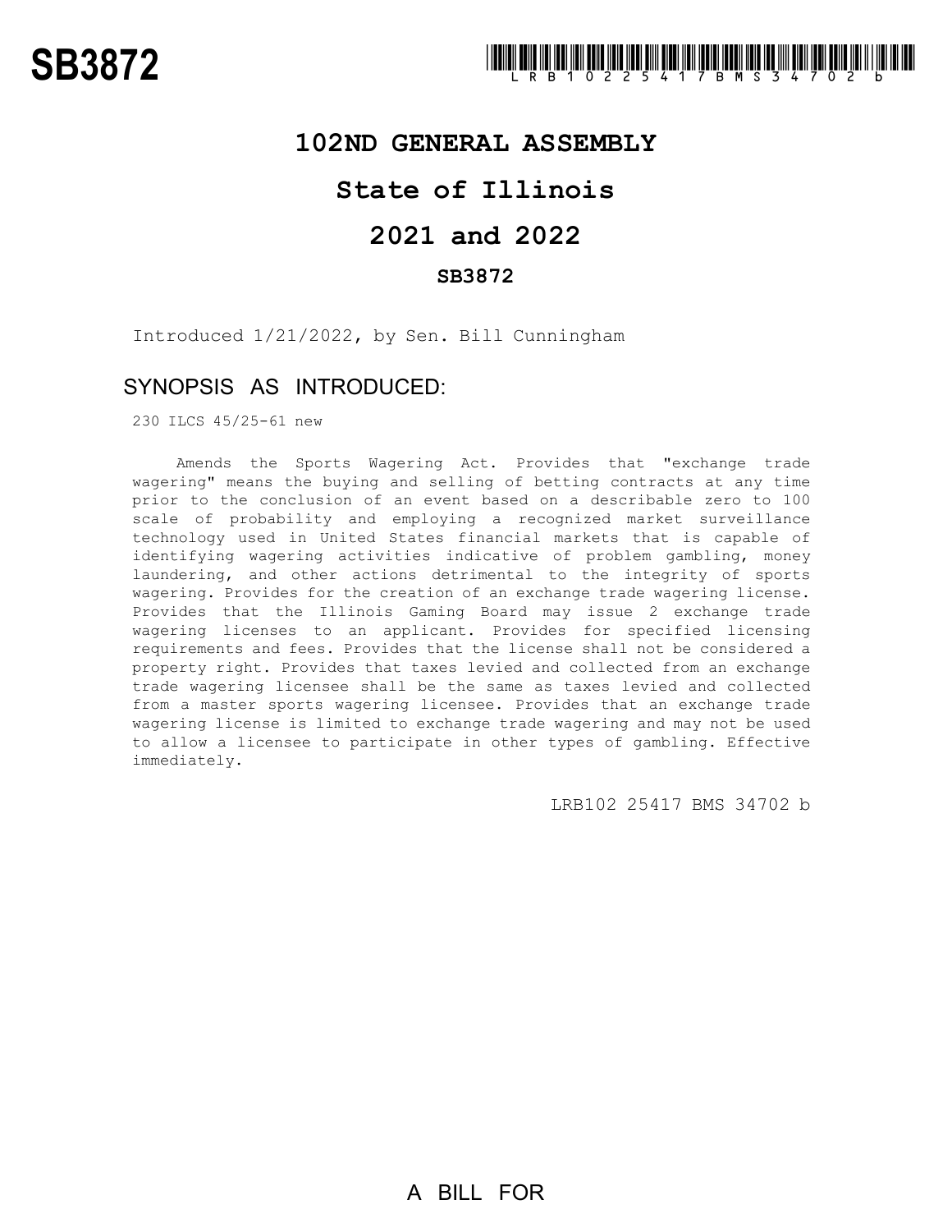### **102ND GENERAL ASSEMBLY**

# **State of Illinois**

# **2021 and 2022**

### **SB3872**

Introduced 1/21/2022, by Sen. Bill Cunningham

### SYNOPSIS AS INTRODUCED:

230 ILCS 45/25-61 new

Amends the Sports Wagering Act. Provides that "exchange trade wagering" means the buying and selling of betting contracts at any time prior to the conclusion of an event based on a describable zero to 100 scale of probability and employing a recognized market surveillance technology used in United States financial markets that is capable of identifying wagering activities indicative of problem gambling, money laundering, and other actions detrimental to the integrity of sports wagering. Provides for the creation of an exchange trade wagering license. Provides that the Illinois Gaming Board may issue 2 exchange trade wagering licenses to an applicant. Provides for specified licensing requirements and fees. Provides that the license shall not be considered a property right. Provides that taxes levied and collected from an exchange trade wagering licensee shall be the same as taxes levied and collected from a master sports wagering licensee. Provides that an exchange trade wagering license is limited to exchange trade wagering and may not be used to allow a licensee to participate in other types of gambling. Effective immediately.

LRB102 25417 BMS 34702 b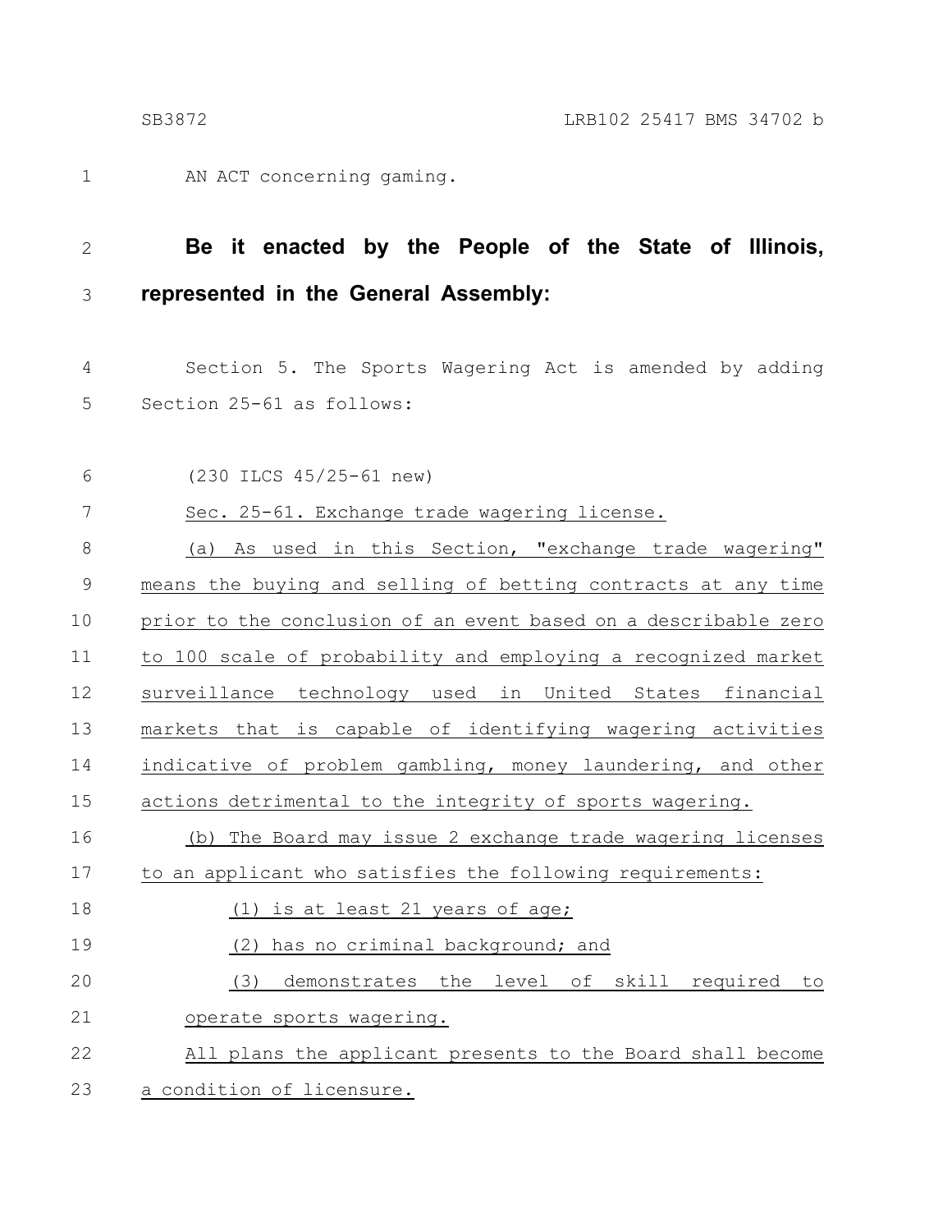AN ACT concerning gaming. 1

#### **Be it enacted by the People of the State of Illinois, represented in the General Assembly:** 2 3

Section 5. The Sports Wagering Act is amended by adding Section 25-61 as follows: 4 5

(230 ILCS 45/25-61 new) Sec. 25-61. Exchange trade wagering license. (a) As used in this Section, "exchange trade wagering" means the buying and selling of betting contracts at any time prior to the conclusion of an event based on a describable zero to 100 scale of probability and employing a recognized market surveillance technology used in United States financial markets that is capable of identifying wagering activities indicative of problem gambling, money laundering, and other actions detrimental to the integrity of sports wagering. (b) The Board may issue 2 exchange trade wagering licenses to an applicant who satisfies the following requirements: (1) is at least 21 years of age; (2) has no criminal background; and (3) demonstrates the level of skill required to operate sports wagering. All plans the applicant presents to the Board shall become a condition of licensure. 6 7 8 9 10 11 12 13 14 15 16 17 18 19 20 21 22 23